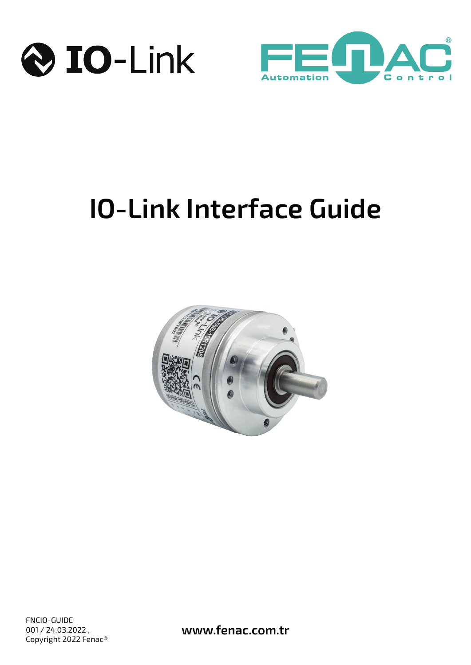



# **IO-Link Interface Guide**

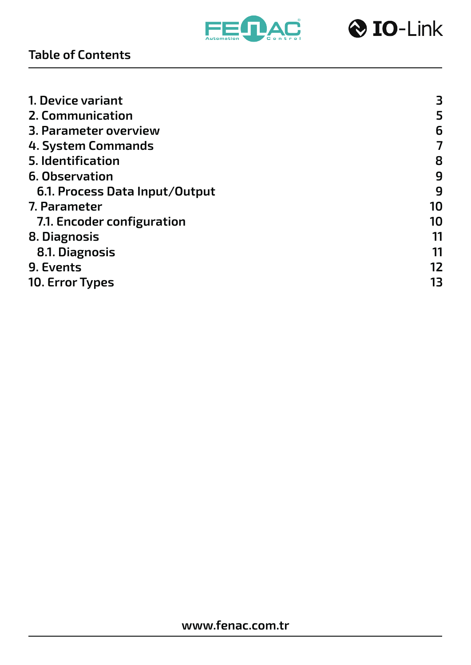



| 3  |
|----|
| 5  |
| 6  |
| 7  |
| 8  |
| 9  |
| 9  |
| 10 |
| 10 |
| 11 |
| 11 |
| 12 |
| 13 |
|    |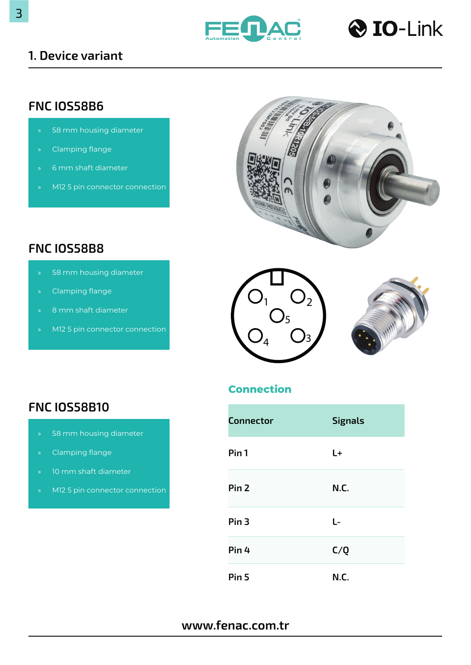



#### <span id="page-2-0"></span>**1. Device variant**

## **FNC IOS58B6**

- 58 mm housing diameter
- » Clamping flange
- » 6 mm shaft diameter
- » M12 5 pin connector connection



## **FNC IOS58B8**

- 58 mm housing diameter
- » Clamping flange
- » 8 mm shaft diameter
- » M12 5 pin connector connection





#### **Connection**

| <b>Connector</b> | <b>Signals</b> |
|------------------|----------------|
| Pin <sub>1</sub> | L+             |
| Pin <sub>2</sub> | N.C.           |
| Pin <sub>3</sub> | L-             |
| Pin <sub>4</sub> | C/Q            |
| Pin <sub>5</sub> | N.C.           |

#### **www.fenac.com.tr**

## **FNC IOS58B10**

- » 58 mm housing diameter
- » Clamping flange
- » 10 mm shaft diameter
- » M12 5 pin connector connection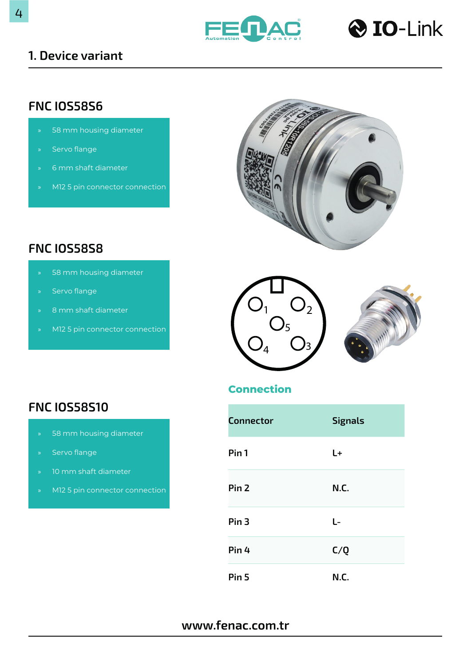



#### **1. Device variant**

## **FNC IOS58S6**

- 58 mm housing diameter
- » Servo flange
- » 6 mm shaft diameter
- » M12 5 pin connector connection



## **FNC IOS58S8**

- 58 mm housing diameter
- » Servo flange
- » 8 mm shaft diameter
- » M12 5 pin connector connection



#### **Connection**

| <b>Connector</b> | <b>Signals</b> |
|------------------|----------------|
| Pin <sub>1</sub> | $L+$           |
| Pin <sub>2</sub> | N.C.           |
| Pin <sub>3</sub> | L-             |
| Pin 4            | C/Q            |
| Pin <sub>5</sub> | N.C.           |

#### **www.fenac.com.tr**

## **FNC IOS58S10**

- » 58 mm housing diameter
- » Servo flange
- » 10 mm shaft diameter
- » M12 5 pin connector connection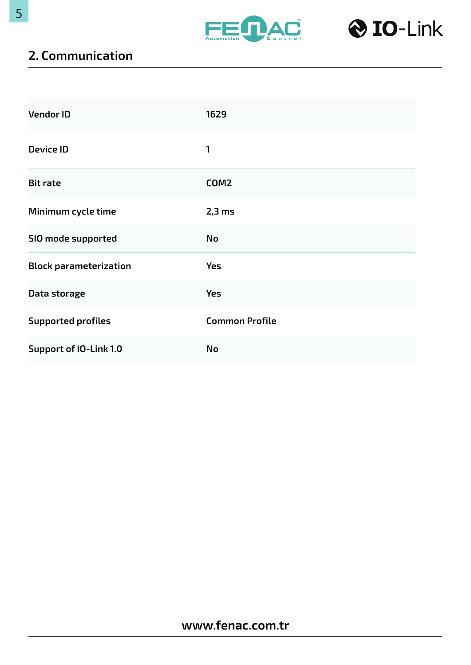



## <span id="page-4-0"></span>**2. Communication**

| <b>Vendor ID</b>              | 1629                  |
|-------------------------------|-----------------------|
| <b>Device ID</b>              | 1                     |
| <b>Bit rate</b>               | COM <sub>2</sub>      |
| Minimum cycle time            | $2,3$ ms              |
| SIO mode supported            | <b>No</b>             |
| <b>Block parameterization</b> | <b>Yes</b>            |
| Data storage                  | <b>Yes</b>            |
| <b>Supported profiles</b>     | <b>Common Profile</b> |
| <b>Support of IO-Link 1.0</b> | No                    |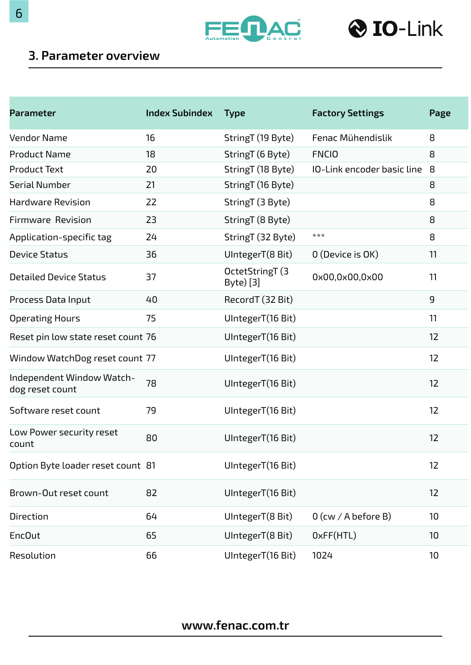



#### <span id="page-5-0"></span>**3. Parameter overview**

| <b>Parameter</b>                             | <b>Index Subindex</b> | <b>Type</b>                  | <b>Factory Settings</b>    | Page |
|----------------------------------------------|-----------------------|------------------------------|----------------------------|------|
| <b>Vendor Name</b>                           | 16                    | StringT (19 Byte)            | Fenac Mühendislik          | 8    |
| <b>Product Name</b>                          | 18                    | StringT (6 Byte)             | <b>FNCIO</b>               | 8    |
| <b>Product Text</b>                          | 20                    | StringT (18 Byte)            | IO-Link encoder basic line | 8    |
| <b>Serial Number</b>                         | 21                    | StringT (16 Byte)            |                            | 8    |
| <b>Hardware Revision</b>                     | 22                    | StringT (3 Byte)             |                            | 8    |
| <b>Firmware Revision</b>                     | 23                    | StringT (8 Byte)             |                            | 8    |
| Application-specific tag                     | 24                    | StringT (32 Byte)            | ***                        | 8    |
| <b>Device Status</b>                         | 36                    | UIntegerT(8 Bit)             | 0 (Device is OK)           | 11   |
| <b>Detailed Device Status</b>                | 37                    | OctetStringT (3<br>Byte) [3] | 0x00,0x00,0x00             | 11   |
| Process Data Input                           | 40                    | RecordT (32 Bit)             |                            | 9    |
| <b>Operating Hours</b>                       | 75                    | UIntegerT(16 Bit)            |                            | 11   |
| Reset pin low state reset count 76           |                       | UIntegerT(16 Bit)            |                            | 12   |
| Window WatchDog reset count 77               |                       | UIntegerT(16 Bit)            |                            | 12   |
| Independent Window Watch-<br>dog reset count | 78                    | UIntegerT(16 Bit)            |                            | 12   |
| Software reset count                         | 79                    | UIntegerT(16 Bit)            |                            | 12   |
| Low Power security reset<br>count            | 80                    | UIntegerT(16 Bit)            |                            | 12   |
| Option Byte loader reset count 81            |                       | UIntegerT(16 Bit)            |                            | 12   |
| Brown-Out reset count                        | 82                    | UIntegerT(16 Bit)            |                            | 12   |
| Direction                                    | 64                    | UIntegerT(8 Bit)             | 0 (cw / A before B)        | 10   |
| <b>EncOut</b>                                | 65                    | UIntegerT(8 Bit)             | OxFF(HTL)                  | 10   |
| Resolution                                   | 66                    | UIntegerT(16 Bit)            | 1024                       | 10   |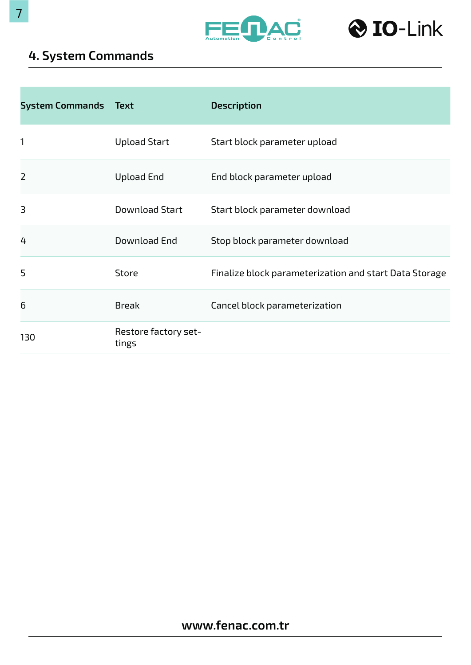



## <span id="page-6-0"></span>**4. System Commands**

| <b>System Commands Text</b> |                               | <b>Description</b>                                     |
|-----------------------------|-------------------------------|--------------------------------------------------------|
| 1                           | <b>Upload Start</b>           | Start block parameter upload                           |
| $\overline{2}$              | <b>Upload End</b>             | End block parameter upload                             |
| 3                           | <b>Download Start</b>         | Start block parameter download                         |
| 4                           | Download End                  | Stop block parameter download                          |
| 5                           | <b>Store</b>                  | Finalize block parameterization and start Data Storage |
| 6                           | <b>Break</b>                  | Cancel block parameterization                          |
| 130                         | Restore factory set-<br>tings |                                                        |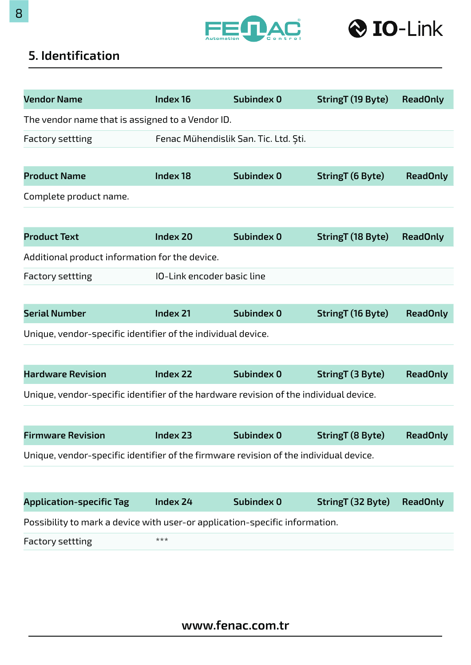



## <span id="page-7-0"></span>**5. Identification**

| <b>Vendor Name</b>                                                                    | Index 16                   | Subindex 0                            | StringT (19 Byte) | <b>ReadOnly</b> |
|---------------------------------------------------------------------------------------|----------------------------|---------------------------------------|-------------------|-----------------|
| The vendor name that is assigned to a Vendor ID.                                      |                            |                                       |                   |                 |
| <b>Factory settting</b>                                                               |                            | Fenac Mühendislik San. Tic. Ltd. Şti. |                   |                 |
|                                                                                       |                            |                                       |                   |                 |
| <b>Product Name</b>                                                                   | Index 18                   | Subindex 0                            | StringT (6 Byte)  | <b>ReadOnly</b> |
| Complete product name.                                                                |                            |                                       |                   |                 |
|                                                                                       |                            |                                       |                   |                 |
| <b>Product Text</b>                                                                   | <b>Index 20</b>            | <b>Subindex 0</b>                     | StringT (18 Byte) | <b>ReadOnly</b> |
| Additional product information for the device.                                        |                            |                                       |                   |                 |
| <b>Factory settting</b>                                                               | IO-Link encoder basic line |                                       |                   |                 |
|                                                                                       |                            |                                       |                   |                 |
| <b>Serial Number</b>                                                                  | Index 21                   | Subindex 0                            | StringT (16 Byte) | <b>ReadOnly</b> |
| Unique, vendor-specific identifier of the individual device.                          |                            |                                       |                   |                 |
|                                                                                       |                            |                                       |                   |                 |
| <b>Hardware Revision</b>                                                              | <b>Index 22</b>            | Subindex 0                            | StringT (3 Byte)  | <b>ReadOnly</b> |
| Unique, vendor-specific identifier of the hardware revision of the individual device. |                            |                                       |                   |                 |
|                                                                                       |                            |                                       |                   |                 |
| <b>Firmware Revision</b>                                                              | Index 23                   | Subindex 0                            | StringT (8 Byte)  | <b>ReadOnly</b> |
| Unique, vendor-specific identifier of the firmware revision of the individual device. |                            |                                       |                   |                 |
|                                                                                       |                            |                                       |                   |                 |
| <b>Application-specific Tag</b>                                                       | Index 24                   | Subindex 0                            | StringT (32 Byte) | <b>ReadOnly</b> |
| Possibility to mark a device with user-or application-specific information.           |                            |                                       |                   |                 |
| <b>Factory settting</b>                                                               | ***                        |                                       |                   |                 |
|                                                                                       |                            |                                       |                   |                 |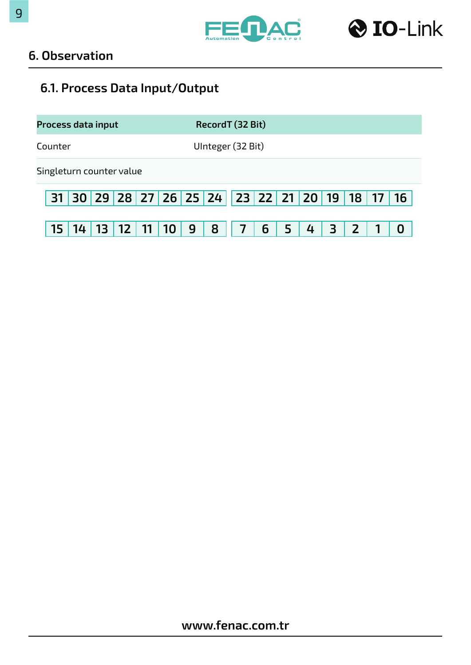



#### <span id="page-8-0"></span>**6. Observation**

# **6.1. Process Data Input/Output**

| <b>Process data input</b> |    |                 |                 |    |                 |   |   | RecordT (32 Bit)                             |   |   |   |  |    |
|---------------------------|----|-----------------|-----------------|----|-----------------|---|---|----------------------------------------------|---|---|---|--|----|
| Counter                   |    |                 |                 |    |                 |   |   | UInteger (32 Bit)                            |   |   |   |  |    |
| Singleturn counter value  |    |                 |                 |    |                 |   |   |                                              |   |   |   |  |    |
|                           |    |                 |                 |    |                 |   |   | 31 30 29 28 27 26 25 24 23 22 21 20 19 18 17 |   |   |   |  | 16 |
| 15                        | 14 | 13 <sup>1</sup> | 12 <sup>2</sup> | 11 | 10 <sup>°</sup> | 9 | 8 |                                              | 6 | 4 | 3 |  |    |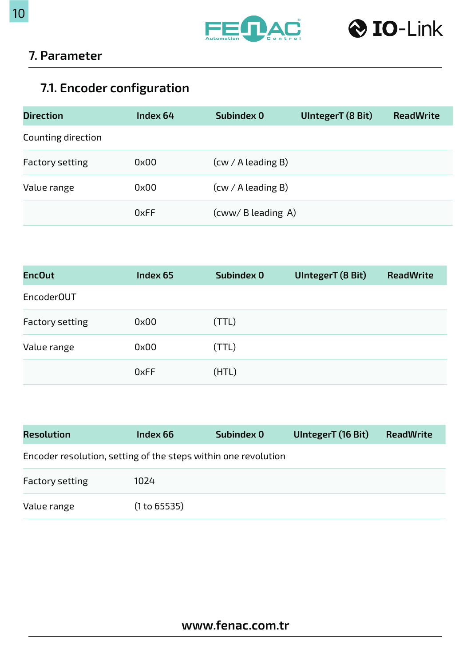



## <span id="page-9-0"></span>**7. Parameter**

# **7.1. Encoder configuration**

| <b>Direction</b>   | Index 64 | Subindex 0           | UIntegerT (8 Bit) | <b>ReadWrite</b> |
|--------------------|----------|----------------------|-------------------|------------------|
| Counting direction |          |                      |                   |                  |
| Factory setting    | 0x00     | $(cw / A$ leading B) |                   |                  |
| Value range        | 0x00     | $(cw / A$ leading B) |                   |                  |
|                    | 0xFF     | (cww/ B leading A)   |                   |                  |

| <b>EncOut</b>          | Index 65 | Subindex 0 | UIntegerT (8 Bit) | <b>ReadWrite</b> |
|------------------------|----------|------------|-------------------|------------------|
| Encoder <sub>OUT</sub> |          |            |                   |                  |
| <b>Factory setting</b> | 0x00     | (TTL)      |                   |                  |
| Value range            | 0x00     | (TTL)      |                   |                  |
|                        | 0xFF     | (HTL)      |                   |                  |

| <b>Resolution</b>                                              | Index 66     | Subindex 0 | UlntegerT (16 Bit) | <b>ReadWrite</b> |
|----------------------------------------------------------------|--------------|------------|--------------------|------------------|
| Encoder resolution, setting of the steps within one revolution |              |            |                    |                  |
| <b>Factory setting</b>                                         | 1024         |            |                    |                  |
| Value range                                                    | (1 to 65535) |            |                    |                  |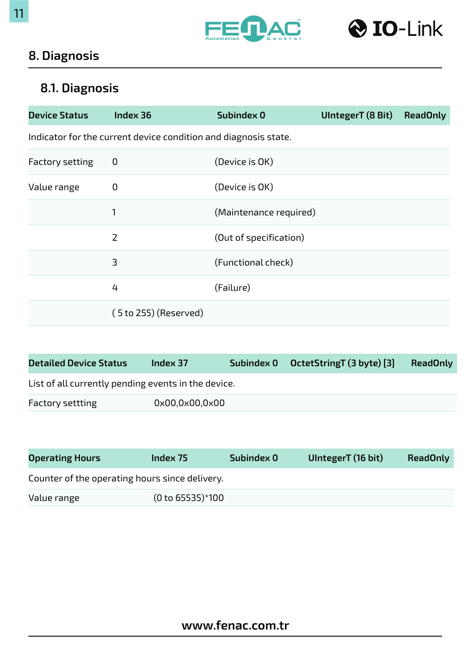



## <span id="page-10-0"></span>**8. Diagnosis**

# **8.1. Diagnosis**

| <b>Device Status</b> | Index 36                                                        | Subindex 0             | UIntegerT (8 Bit) | <b>ReadOnly</b> |
|----------------------|-----------------------------------------------------------------|------------------------|-------------------|-----------------|
|                      | Indicator for the current device condition and diagnosis state. |                        |                   |                 |
| Factory setting      | 0                                                               | (Device is OK)         |                   |                 |
| Value range          | 0                                                               | (Device is OK)         |                   |                 |
|                      | 1                                                               | (Maintenance required) |                   |                 |
|                      | $\overline{2}$                                                  | (Out of specification) |                   |                 |
|                      | 3                                                               | (Functional check)     |                   |                 |
|                      | 4                                                               | (Failure)              |                   |                 |
|                      | $(5 to 255)$ (Reserved)                                         |                        |                   |                 |

| <b>Detailed Device Status</b>                       | Index 37       |  | Subindex 0 OctetStringT (3 byte) [3] | <b>ReadOnly</b> |  |  |
|-----------------------------------------------------|----------------|--|--------------------------------------|-----------------|--|--|
| List of all currently pending events in the device. |                |  |                                      |                 |  |  |
| <b>Factory settting</b>                             | 0x00,0x00,0x00 |  |                                      |                 |  |  |

| <b>Operating Hours</b>                         | Index 75 |  | UlntegerT (16 bit) | <b>ReadOnly</b> |
|------------------------------------------------|----------|--|--------------------|-----------------|
| Counter of the operating hours since delivery. |          |  |                    |                 |
| $(0 to 65535)*100$<br>Value range              |          |  |                    |                 |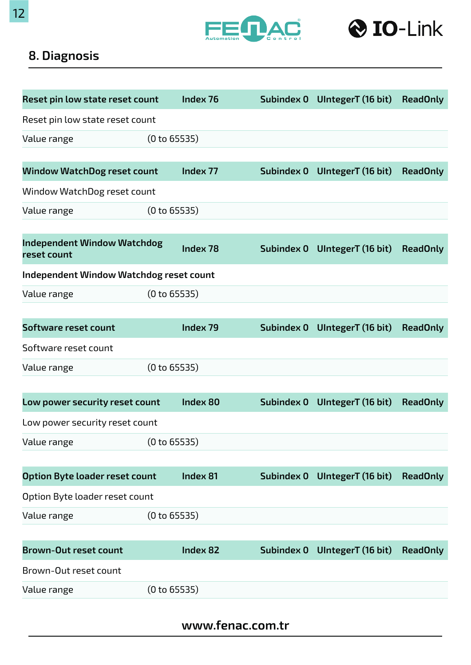



## **8. Diagnosis**

| Reset pin low state reset count                   |              | Index 76        | <b>Subindex 0</b> | UlntegerT (16 bit) | <b>ReadOnly</b> |
|---------------------------------------------------|--------------|-----------------|-------------------|--------------------|-----------------|
| Reset pin low state reset count                   |              |                 |                   |                    |                 |
| (0 to 65535)<br>Value range                       |              |                 |                   |                    |                 |
|                                                   |              |                 |                   |                    |                 |
| <b>Window WatchDog reset count</b>                |              | Index 77        | Subindex 0        | UlntegerT (16 bit) | <b>ReadOnly</b> |
| Window WatchDog reset count                       |              |                 |                   |                    |                 |
| Value range                                       | (0 to 65535) |                 |                   |                    |                 |
|                                                   |              |                 |                   |                    |                 |
| <b>Independent Window Watchdog</b><br>reset count |              | Index 78        | Subindex 0        | UlntegerT (16 bit) | <b>ReadOnly</b> |
| <b>Independent Window Watchdog reset count</b>    |              |                 |                   |                    |                 |
| (0 to 65535)<br>Value range                       |              |                 |                   |                    |                 |
|                                                   |              |                 |                   |                    |                 |
| Software reset count                              |              | Index 79        | Subindex 0        | UlntegerT (16 bit) | <b>ReadOnly</b> |
| Software reset count                              |              |                 |                   |                    |                 |
| (0 to 65535)<br>Value range                       |              |                 |                   |                    |                 |
|                                                   |              |                 |                   |                    |                 |
| Low power security reset count                    |              | <b>Index 80</b> | Subindex 0        | UlntegerT (16 bit) | <b>ReadOnly</b> |
| Low power security reset count                    |              |                 |                   |                    |                 |
| (0 to 65535)<br>Value range                       |              |                 |                   |                    |                 |
|                                                   |              |                 |                   |                    |                 |
| Option Byte loader reset count                    |              | Index 81        | Subindex 0        | UlntegerT (16 bit) | <b>ReadOnly</b> |
| Option Byte loader reset count                    |              |                 |                   |                    |                 |
| (0 to 65535)<br>Value range                       |              |                 |                   |                    |                 |
|                                                   |              |                 |                   |                    |                 |
| <b>Brown-Out reset count</b>                      |              | <b>Index 82</b> | Subindex 0        | UIntegerT (16 bit) | <b>ReadOnly</b> |
| Brown-Out reset count                             |              |                 |                   |                    |                 |
| Value range                                       | (0 to 65535) |                 |                   |                    |                 |
|                                                   |              |                 |                   |                    |                 |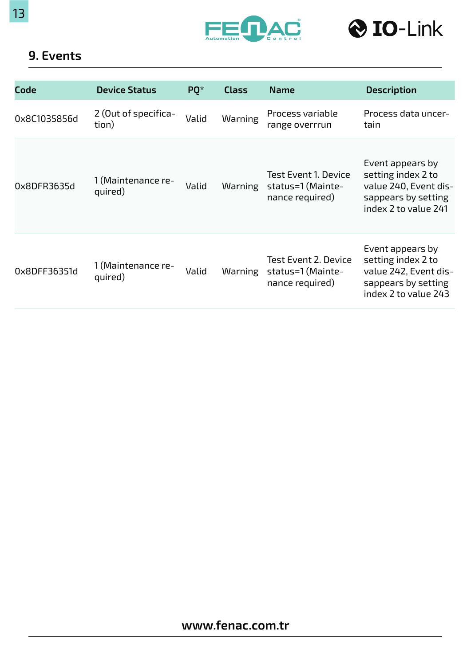<span id="page-12-0"></span>





#### **9. Events**

| <b>Code</b>  | <b>Device Status</b>          | PQ*   | <b>Class</b> | <b>Name</b>                                                         | <b>Description</b>                                                                                             |
|--------------|-------------------------------|-------|--------------|---------------------------------------------------------------------|----------------------------------------------------------------------------------------------------------------|
| 0x8C1035856d | 2 (Out of specifica-<br>tion) | Valid | Warning      | Process variable<br>range overrrun                                  | Process data uncer-<br>tain                                                                                    |
| 0x8DFR3635d  | 1 (Maintenance re-<br>quired) | Valid | Warning      | <b>Test Event 1. Device</b><br>status=1 (Mainte-<br>nance required) | Event appears by<br>setting index 2 to<br>value 240, Event dis-<br>sappears by setting<br>index 2 to value 241 |
| 0x8DFF36351d | 1 (Maintenance re-<br>quired) | Valid | Warning      | <b>Test Event 2. Device</b><br>status=1 (Mainte-<br>nance required) | Event appears by<br>setting index 2 to<br>value 242, Event dis-<br>sappears by setting<br>index 2 to value 243 |